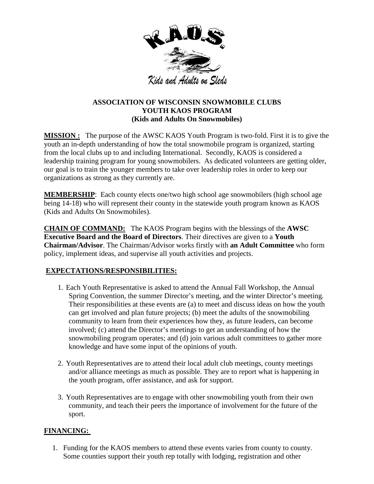

## **ASSOCIATION OF WISCONSIN SNOWMOBILE CLUBS YOUTH KAOS PROGRAM (Kids and Adults On Snowmobiles)**

**MISSION :** The purpose of the AWSC KAOS Youth Program is two-fold. First it is to give the youth an in-depth understanding of how the total snowmobile program is organized, starting from the local clubs up to and including International. Secondly, KAOS is considered a leadership training program for young snowmobilers. As dedicated volunteers are getting older, our goal is to train the younger members to take over leadership roles in order to keep our organizations as strong as they currently are.

**MEMBERSHIP**: Each county elects one/two high school age snowmobilers (high school age being 14-18) who will represent their county in the statewide youth program known as KAOS (Kids and Adults On Snowmobiles).

**CHAIN OF COMMAND:** The KAOS Program begins with the blessings of the **AWSC Executive Board and the Board of Directors**. Their directives are given to a **Youth Chairman/Advisor**. The Chairman/Advisor works firstly with **an Adult Committee** who form policy, implement ideas, and supervise all youth activities and projects.

## **EXPECTATIONS/RESPONSIBILITIES:**

- 1. Each Youth Representative is asked to attend the Annual Fall Workshop, the Annual Spring Convention, the summer Director's meeting, and the winter Director's meeting. Their responsibilities at these events are (a) to meet and discuss ideas on how the youth can get involved and plan future projects; (b) meet the adults of the snowmobiling community to learn from their experiences how they, as future leaders, can become involved; (c) attend the Director's meetings to get an understanding of how the snowmobiling program operates; and (d) join various adult committees to gather more knowledge and have some input of the opinions of youth.
- 2. Youth Representatives are to attend their local adult club meetings, county meetings and/or alliance meetings as much as possible. They are to report what is happening in the youth program, offer assistance, and ask for support.
- 3. Youth Representatives are to engage with other snowmobiling youth from their own community, and teach their peers the importance of involvement for the future of the sport.

## **FINANCING:**

1. Funding for the KAOS members to attend these events varies from county to county. Some counties support their youth rep totally with lodging, registration and other